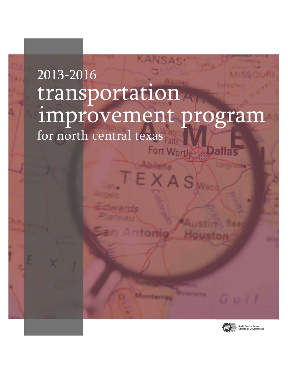## KANSAS 2013-2016 transportation improvement program for north central texas Fort Worth Dallas

EXAS

Antonio

**CARLES BAY** 



 $G, U, I$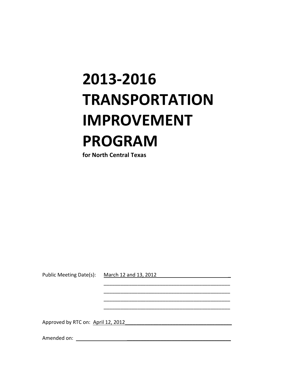# **2013‐2016 TRANSPORTATION IMPROVEMENT PROGRAM**

**for North Central Texas**

Public Meeting Date(s): March 12 and 13, 2012

 \_\_\_\_\_\_\_\_\_\_\_\_\_\_\_\_\_\_\_\_\_\_\_\_\_\_\_\_\_\_\_\_\_\_\_\_\_\_\_\_\_\_\_\_\_ \_\_\_\_\_\_\_\_\_\_\_\_\_\_\_\_\_\_\_\_\_\_\_\_\_\_\_\_\_\_\_\_\_\_\_\_\_\_\_\_\_\_\_\_\_ \_\_\_\_\_\_\_\_\_\_\_\_\_\_\_\_\_\_\_\_\_\_\_\_\_\_\_\_\_\_\_\_\_\_\_\_\_\_\_\_\_\_\_\_\_ \_\_\_\_\_\_\_\_\_\_\_\_\_\_\_\_\_\_\_\_\_\_\_\_\_\_\_\_\_\_\_\_\_\_\_\_\_\_\_\_\_\_\_\_\_

Approved by RTC on: April 12, 2012

Amended on: \_\_\_\_\_\_\_\_\_\_\_\_\_\_\_\_\_\_\_\_\_\_\_\_\_\_\_\_\_\_\_\_\_\_\_\_\_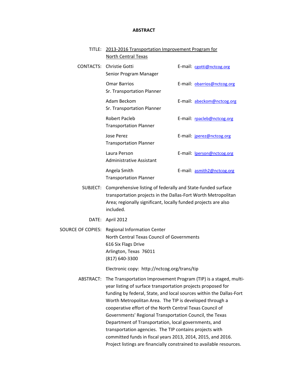#### **ABSTRACT**

| TITLE: 2013-2016 Transportation Improvement Program for |
|---------------------------------------------------------|
| North Central Texas                                     |

|  | <b>CONTACTS:</b> Christie Gotti<br>Senior Program Manager | E-mail: cgotti@nctcog.org         |
|--|-----------------------------------------------------------|-----------------------------------|
|  | <b>Omar Barrios</b><br>Sr. Transportation Planner         | E-mail: obarrios@nctcog.org       |
|  | Adam Beckom<br>Sr. Transportation Planner                 | E-mail: abeckom@nctcog.org        |
|  | Robert Pacleb<br><b>Transportation Planner</b>            | E-mail: rpacleb@nctcog.org        |
|  | Jose Perez<br><b>Transportation Planner</b>               | E-mail: <i>jperez@nctcog.org</i>  |
|  | Laura Person<br><b>Administrative Assistant</b>           | E-mail: <b>lperson@nctcog.org</b> |
|  | Angela Smith<br><b>Transportation Planner</b>             | E-mail: asmith2@nctcog.org        |

- SUBJECT: Comprehensive listing of federally and State‐funded surface transportation projects in the Dallas‐Fort Worth Metropolitan Area; regionally significant, locally funded projects are also included.
	- DATE: April 2012

SOURCE OF COPIES: Regional Information Center North Central Texas Council of Governments 616 Six Flags Drive Arlington, Texas 76011 (817) 640‐3300

Electronic copy: http://nctcog.org/trans/tip

ABSTRACT: The Transportation Improvement Program (TIP) is a staged, multiyear listing of surface transportation projects proposed for funding by federal, State, and local sources within the Dallas‐Fort Worth Metropolitan Area. The TIP is developed through a cooperative effort of the North Central Texas Council of Governments' Regional Transportation Council, the Texas Department of Transportation, local governments, and transportation agencies. The TIP contains projects with committed funds in fiscal years 2013, 2014, 2015, and 2016. Project listings are financially constrained to available resources.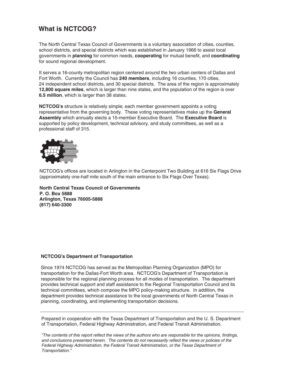## **What is NCTCOG?**

The North Central Texas Council of Governments is a voluntary association of cities, counties, school districts, and special districts which was established in January 1966 to assist local governments in **planning** for common needs, **cooperating** for mutual benefit, and **coordinating** for sound regional development.

It serves a 16-county metropolitan region centered around the two urban centers of Dallas and Fort Worth. Currently the Council has **240 members**, including 16 counties, 170 cities, 24 independent school districts, and 30 special districts. The area of the region is approximately **12,800 square miles**, which is larger than nine states, and the population of the region is over **6.5 million**, which is larger than 38 states.

**NCTCOG's** structure is relatively simple; each member government appoints a voting representative from the governing body. These voting representatives make up the **General Assembly** which annually elects a 15-member Executive Board. The **Executive Board** is supported by policy development, technical advisory, and study committees, as well as a professional staff of 315.



NCTCOG's offices are located in Arlington in the Centerpoint Two Building at 616 Six Flags Drive (approximately one-half mile south of the main entrance to Six Flags Over Texas).

**North Central Texas Council of Governments P. O. Box 5888 Arlington, Texas 76005-5888 (817) 640-3300**

#### **NCTCOG's Department of Transportation**

Since 1974 NCTCOG has served as the Metropolitan Planning Organization (MPO) for transportation for the Dallas-Fort Worth area. NCTCOG's Department of Transportation is responsible for the regional planning process for all modes of transportation. The department provides technical support and staff assistance to the Regional Transportation Council and its technical committees, which compose the MPO policy-making structure. In addition, the department provides technical assistance to the local governments of North Central Texas in planning, coordinating, and implementing transportation decisions.

Prepared in cooperation with the Texas Department of Transportation and the U. S. Department of Transportation, Federal Highway Administration, and Federal Transit Administration.

"The contents of this report reflect the views of the authors who are responsible for the opinions, findings, and conclusions presented herein. The contents do not necessarily reflect the views or policies of the Federal Highway Administration, the Federal Transit Administration, or the Texas Department of Transportation."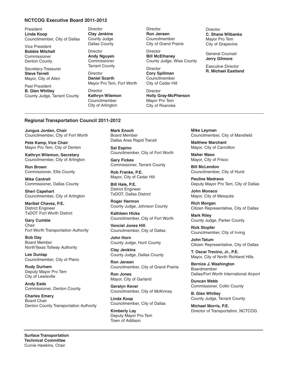#### **NCTCOG Executive Board 2011-2012**

President **Linda Koop** Councilmember, City of Dallas

Vice President **Bobbie Mitchell** Commissioner Denton County

Secretary-Treasurer **Steve Terrell** Mayor, City of Allen

Past President **B. Glen Whitley** County Judge, Tarrant County **Director Clay Jenkins** County Judge Dallas County

**Director Andy Nguyen** Commissioner Tarrant County

**Director Daniel Scarth** Mayor Pro Tem, Fort Worth

**Director Kathryn Wilemon** Councilmember City of Arlington

Director **Ron Jensen** Councilmember City of Grand Prairie

Director **Bill McElhaney** County Judge, Wise County

Director **Cory Spillman** Councilmember City of Cedar Hill

**Director Holly Gray-McPherson** Mayor Pro Tem City of Roanoke

**Director C. Shane Wilbanks** Mayor Pro Tem City of Grapevine

General Counsel **Jerry Gilmore**

Executive Director **R. Michael Eastland**

#### **Regional Transportation Council 2011-2012**

**Jungus Jordan, Chair** Councilmember, City of Fort Worth

**Pete Kamp, Vice Chair** Mayor Pro Tem, City of Denton

**Kathryn Wilemon, Secretary** Councilmember, City of Arlington

**Ron Brown** Commissioner, Ellis County

**Mike Cantrell** Commissioner, Dallas County

**Sheri Capehart** Councilmember, City of Arlington

**Maribel Chavez, P.E.** District Engineer TxDOT Fort Worth District

**Gary Cumbie** Chair Fort Worth Transportation Authority

**Bob Day** Board Member NorthTexas Tollway Authority

**Lee Dunlap** Councilmember, City of Plano

**Rudy Durham** Deputy Mayor Pro Tem City of Lewisville

**Andy Eads** Commissioner, Denton County

**Charles Emery** Board Chair Denton County Transportation Authority **Mark Enoch** Board Member Dallas Area Rapid Transit

**Sal Espino** Councilmember, City of Fort Worth

**Gary Fickes** Commissioner, Tarrant County

**Rob Franke, P.E.** Mayor, City of Cedar Hill

**Bill Hale, P.E.** District Engineer TxDOT, Dallas District

**Roger Harmon** County Judge, Johnson County

**Kathleen Hicks** Councilmember, City of Fort Worth

**Vonciel Jones Hill** Councilmember, City of Dallas

**John Horn** County Judge, Hunt County

**Clay Jenkins** County Judge, Dallas County

**Ron Jensen** Councilmember, City of Grand Prairie

**Ron Jones** Mayor, City of Garland

**Geralyn Kever** Councilmember, City of McKinney

**Linda Koop** Councilmember, City of Dallas

**Kimberly Lay** Deputy Mayor Pro Tem Town of Addison

**Mike Leyman** Councilmember, City of Mansfield

**Matthew Marchant** Mayor, City of Carrollton

**Maher Maso** Mayor, City of Frisco

**Bill McLendon** Councilmember, City of Hurst

**Pauline Medrano** Deputy Mayor Pro Tem, City of Dallas

**John Monaco** Mayor, City of Mesquite

**Rich Morgan** Citizen Representative, City of Dallas

**Mark Riley** County Judge, Parker County

**Rick Stopfer** Councilmember, City of Irving

**John Tatum** Citizen Representative, City of Dallas

**T. Oscar Trevino, Jr., P.E.** Mayor, City of North Richland Hills

**Bernice J. Washington** Boardmember Dallas/Fort Worth International Airport

**Duncan Webb** Commissioner, Collin County

**B. Glen Whitley** County Judge, Tarrant County

**Michael Morris, P.E.** Director of Transportation, NCTCOG

**Surface Transportation Technical Committee** Curvie Hawkins, Chair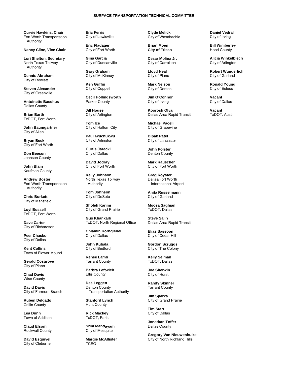#### **SURFACE TRANSPORTATION TECHNICAL COMMITTEE**

**Curvie Hawkins, Chair**  Fort Worth Transportation Authority

**Nancy Cline, Vice Chair** 

**Lori Shelton, Secretary**  North Texas Tollway Authority

**Dennis Abraham**  City of Rowlett

**Steven Alexander**  City of Greenville

**Antoinette Bacchus**  Dallas County

**Brian Barth**  TxDOT, Fort Worth

**John Baumgartner**  City of Allen

**Bryan Beck**  City of Fort Worth

**Don Beeson**  Johnson County

**John Blain**  Kaufman County

**Andrew Boster**  Fort Worth Transportation Authority

**Chris Burkett**  City of Mansfield

**Loyl Bussell**  TxDOT, Fort Worth

**Dave Carter**  City of Richardson

**Peer Chacko** City of Dallas

**Kent Collins**  Town of Flower Mound

**Gerald Cosgrove**  City of Plano

**Chad Davis**  Wise County

**David Davis** City of Farmers Branch

**Ruben Delgado**  Collin County

**Lea Dunn**  Town of Addison

**Claud Elsom**  Rockwall County

**David Esquivel**  City of Cleburne

**Eric Ferris**  City of Lewisville

**Eric Fladager**  City of Fort Worth

**Gina Garcia**  City of Duncanville

**Gary Graham**  City of McKinney

**Ken Griffin**  City of Coppell

**Cecil Hollingsworth**  Parker County

**Jill House**  City of Arlington

**Tom Ice**  City of Haltom City

**Paul Iwuchukwu**  City of Arlington

**Curtis Jarecki**  City of Dallas

**David Jodray**  City of Fort Worth

**Kelly Johnson**  North Texas Tollway Authority

**Tom Johnson**  City of DeSoto

**Sholeh Karimi**  City of Grand Prairie

**Gus Khankarli**  TxDOT, North Regional Office

**Chiamin Korngiebel**  City of Dallas

**John Kubala** City of Bedford

**Renee Lamb**  Tarrant County

**Barbra Leftwich**  Ellis County

**Dee Leggett**  Denton County Transportation Authority

**Stanford Lynch**  Hunt County

**Rick Mackey**  TxDOT, Paris

**Srini Mandayam**  City of Mesquite

**Margie McAllister TCEQ** 

**Clyde Melick**  City of Waxahachie

**Brian Moen City of Frisco** 

**Cesar Molina Jr.**  City of Carrollton

**Lloyd Neal** City of Plano

**Mark Nelson**  City of Denton

**Jim O'Connor**  City of Irving

**Koorosh Olyai**  Dallas Area Rapid Transit

**Michael Pacelli**  City of Grapevine

**Dipak Patel**  City of Lancaster

**John Polster**  Denton County

**Mark Rauscher**  City of Fort Worth

**Greg Royster**  Dallas/Fort Worth International Airport

**Anita Russelmann**  City of Garland

**Moosa Saghian**  TxDOT, Dallas

**Steve Salin** Dallas Area Rapid Transit

**Elias Sassoon**  City of Cedar Hill

**Gordon Scruggs**  City of The Colony

**Kelly Selman**  TxDOT, Dallas

**Joe Sherwin** City of Hurst

**Randy Skinner**  Tarrant County

**Jim Sparks**  City of Grand Prairie

**Tim Starr**  City of Dallas

**Jonathan Toffer**  Dallas County

**Gregory Van Nieuwenhuize**  City of North Richland Hills

**Daniel Vedral**  City of Irving

**Bill Wimberley**  Hood County

**Alicia Winkelblech**  City of Arlington

**Robert Wunderlich**  City of Garland

**Ronald Young**  City of Euless

**Vacant**  City of Dallas

**Vacant**  TxDOT, Austin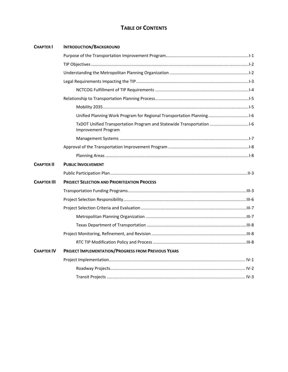## **TABLE OF CONTENTS**

| <b>CHAPTER I</b>   | <b>INTRODUCTION/BACKGROUND</b>                                                                      |  |
|--------------------|-----------------------------------------------------------------------------------------------------|--|
|                    |                                                                                                     |  |
|                    |                                                                                                     |  |
|                    |                                                                                                     |  |
|                    |                                                                                                     |  |
|                    |                                                                                                     |  |
|                    |                                                                                                     |  |
|                    |                                                                                                     |  |
|                    | Unified Planning Work Program for Regional Transportation Planning1-6                               |  |
|                    | TxDOT Unified Transportation Program and Statewide Transportation 1-6<br><b>Improvement Program</b> |  |
|                    |                                                                                                     |  |
|                    |                                                                                                     |  |
|                    |                                                                                                     |  |
| <b>CHAPTER II</b>  | <b>PUBLIC INVOLVEMENT</b>                                                                           |  |
|                    |                                                                                                     |  |
| <b>CHAPTER III</b> | <b>PROJECT SELECTION AND PRIORITIZATION PROCESS</b>                                                 |  |
|                    |                                                                                                     |  |
|                    |                                                                                                     |  |
|                    |                                                                                                     |  |
|                    |                                                                                                     |  |
|                    |                                                                                                     |  |
|                    |                                                                                                     |  |
|                    |                                                                                                     |  |
| <b>CHAPTER IV</b>  | <b>PROJECT IMPLEMENTATION/PROGRESS FROM PREVIOUS YEARS</b>                                          |  |
|                    |                                                                                                     |  |
|                    |                                                                                                     |  |
|                    |                                                                                                     |  |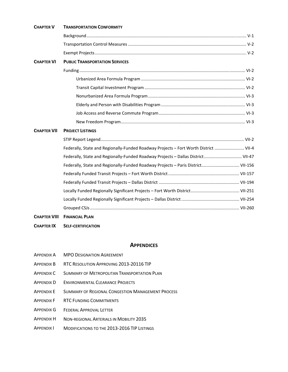| <b>TRANSPORTATION CONFORMITY</b>      |                                                                                                                                                                                                                                                              |
|---------------------------------------|--------------------------------------------------------------------------------------------------------------------------------------------------------------------------------------------------------------------------------------------------------------|
|                                       |                                                                                                                                                                                                                                                              |
|                                       |                                                                                                                                                                                                                                                              |
|                                       |                                                                                                                                                                                                                                                              |
| <b>PUBLIC TRANSPORTATION SERVICES</b> |                                                                                                                                                                                                                                                              |
|                                       |                                                                                                                                                                                                                                                              |
|                                       |                                                                                                                                                                                                                                                              |
|                                       |                                                                                                                                                                                                                                                              |
|                                       |                                                                                                                                                                                                                                                              |
|                                       |                                                                                                                                                                                                                                                              |
|                                       |                                                                                                                                                                                                                                                              |
|                                       |                                                                                                                                                                                                                                                              |
| <b>PROJECT LISTINGS</b>               |                                                                                                                                                                                                                                                              |
|                                       |                                                                                                                                                                                                                                                              |
|                                       |                                                                                                                                                                                                                                                              |
|                                       |                                                                                                                                                                                                                                                              |
|                                       |                                                                                                                                                                                                                                                              |
|                                       |                                                                                                                                                                                                                                                              |
|                                       |                                                                                                                                                                                                                                                              |
|                                       |                                                                                                                                                                                                                                                              |
|                                       |                                                                                                                                                                                                                                                              |
|                                       |                                                                                                                                                                                                                                                              |
| <b>FINANCIAL PLAN</b>                 |                                                                                                                                                                                                                                                              |
|                                       | Federally, State and Regionally-Funded Roadway Projects - Fort Worth District  VII-4<br>Federally, State and Regionally-Funded Roadway Projects - Dallas District VII-47<br>Federally, State and Regionally-Funded Roadway Projects - Paris District VII-156 |

**CHAPTER IX SELF‐CERTIFICATION**

#### **APPENDICES**

- APPENDIX A MPO DESIGNATION AGREEMENT
- APPENDIX B RTC RESOLUTION APPROVING 2013‐20116 TIP
- APPENDIX C SUMMARY OF METROPOLITAN TRANSPORTATION PLAN
- APPENDIX D ENVIRONMENTAL CLEARANCE PROJECTS
- APPENDIX E SUMMARY OF REGIONAL CONGESTION MANAGEMENT PROCESS
- APPENDIX F RTC FUNDING COMMITMENTS
- APPENDIX G FEDERAL APPROVAL LETTER
- APPENDIX H NON‐REGIONAL ARTERIALS IN MOBILITY 2035
- APPENDIX I MODIFICATIONS TO THE 2013‐2016 TIP LISTINGS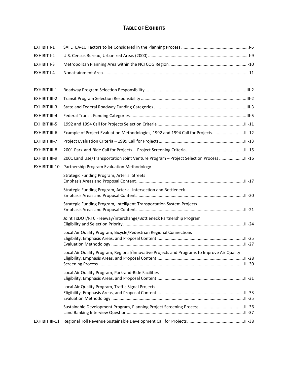## **TABLE OF EXHIBITS**

| EXHIBIT I-1           |                                                                                             |  |
|-----------------------|---------------------------------------------------------------------------------------------|--|
| EXHIBIT I-2           |                                                                                             |  |
| EXHIBIT I-3           |                                                                                             |  |
| <b>EXHIBIT I-4</b>    |                                                                                             |  |
|                       |                                                                                             |  |
| EXHIBIT III-1         |                                                                                             |  |
| <b>EXHIBIT III-2</b>  |                                                                                             |  |
| EXHIBIT III-3         |                                                                                             |  |
| <b>EXHIBIT III-4</b>  |                                                                                             |  |
| <b>EXHIBIT III-5</b>  |                                                                                             |  |
| <b>EXHIBIT III-6</b>  | Example of Project Evaluation Methodologies, 1992 and 1994 Call for Projects                |  |
| EXHIBIT III-7         |                                                                                             |  |
| <b>EXHIBIT III-8</b>  |                                                                                             |  |
| EXHIBIT III-9         | 2001 Land Use/Transportation Joint Venture Program - Project Selection Process              |  |
| <b>EXHIBIT III-10</b> | Partnership Program Evaluation Methodology                                                  |  |
|                       | Strategic Funding Program, Arterial Streets                                                 |  |
|                       | Strategic Funding Program, Arterial-Intersection and Bottleneck                             |  |
|                       | Strategic Funding Program, Intelligent-Transportation System Projects                       |  |
|                       | Joint TxDOT/RTC Freeway/Interchange/Bottleneck Partnership Program                          |  |
|                       | Local Air Quality Program, Bicycle/Pedestrian Regional Connections                          |  |
|                       |                                                                                             |  |
|                       | Local Air Quality Program, Regional/Innovative Projects and Programs to Improve Air Quality |  |
|                       |                                                                                             |  |
|                       |                                                                                             |  |
|                       | Local Air Quality Program, Park-and-Ride Facilities                                         |  |
|                       | Local Air Quality Program, Traffic Signal Projects                                          |  |
|                       |                                                                                             |  |
| EXHIBIT III-11        |                                                                                             |  |